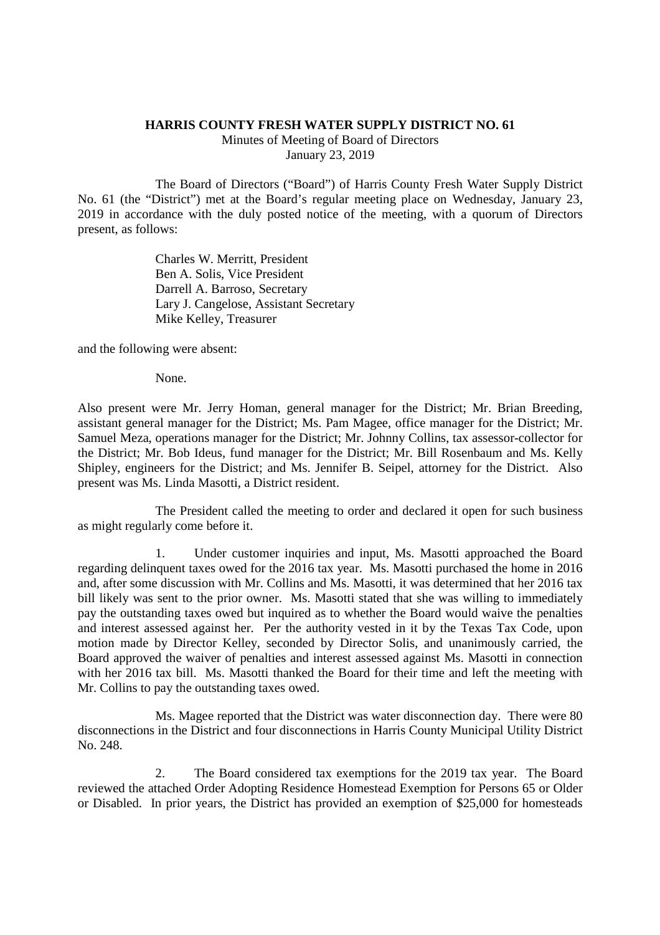## **HARRIS COUNTY FRESH WATER SUPPLY DISTRICT NO. 61**

Minutes of Meeting of Board of Directors January 23, 2019

The Board of Directors ("Board") of Harris County Fresh Water Supply District No. 61 (the "District") met at the Board's regular meeting place on Wednesday, January 23, 2019 in accordance with the duly posted notice of the meeting, with a quorum of Directors present, as follows:

> Charles W. Merritt, President Ben A. Solis, Vice President Darrell A. Barroso, Secretary Lary J. Cangelose, Assistant Secretary Mike Kelley, Treasurer

and the following were absent:

None.

Also present were Mr. Jerry Homan, general manager for the District; Mr. Brian Breeding, assistant general manager for the District; Ms. Pam Magee, office manager for the District; Mr. Samuel Meza, operations manager for the District; Mr. Johnny Collins, tax assessor-collector for the District; Mr. Bob Ideus, fund manager for the District; Mr. Bill Rosenbaum and Ms. Kelly Shipley, engineers for the District; and Ms. Jennifer B. Seipel, attorney for the District. Also present was Ms. Linda Masotti, a District resident.

The President called the meeting to order and declared it open for such business as might regularly come before it.

1. Under customer inquiries and input, Ms. Masotti approached the Board regarding delinquent taxes owed for the 2016 tax year. Ms. Masotti purchased the home in 2016 and, after some discussion with Mr. Collins and Ms. Masotti, it was determined that her 2016 tax bill likely was sent to the prior owner. Ms. Masotti stated that she was willing to immediately pay the outstanding taxes owed but inquired as to whether the Board would waive the penalties and interest assessed against her. Per the authority vested in it by the Texas Tax Code, upon motion made by Director Kelley, seconded by Director Solis, and unanimously carried, the Board approved the waiver of penalties and interest assessed against Ms. Masotti in connection with her 2016 tax bill. Ms. Masotti thanked the Board for their time and left the meeting with Mr. Collins to pay the outstanding taxes owed.

Ms. Magee reported that the District was water disconnection day. There were 80 disconnections in the District and four disconnections in Harris County Municipal Utility District No. 248.

2. The Board considered tax exemptions for the 2019 tax year. The Board reviewed the attached Order Adopting Residence Homestead Exemption for Persons 65 or Older or Disabled. In prior years, the District has provided an exemption of \$25,000 for homesteads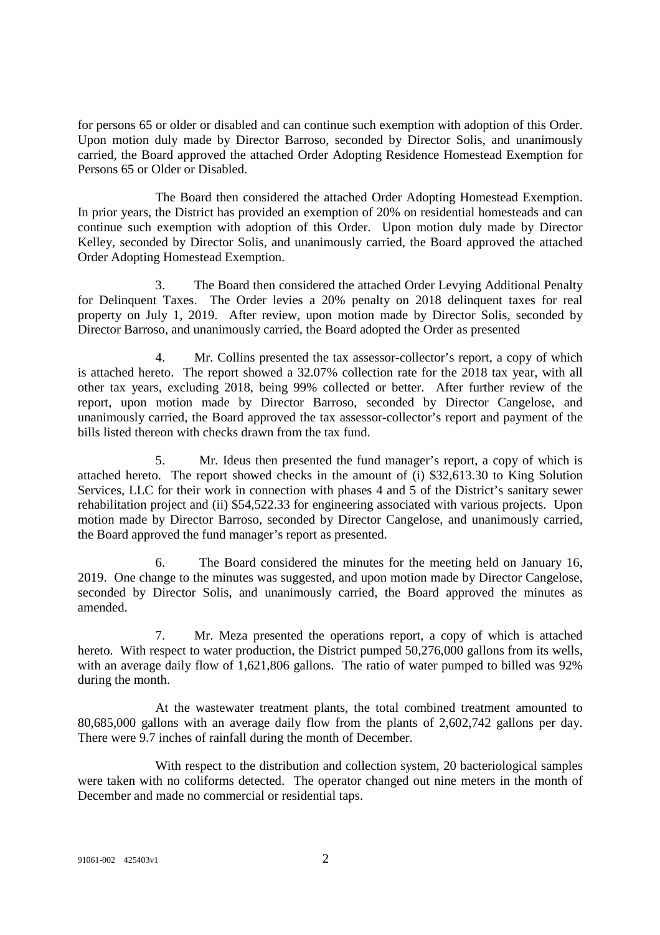for persons 65 or older or disabled and can continue such exemption with adoption of this Order. Upon motion duly made by Director Barroso, seconded by Director Solis, and unanimously carried, the Board approved the attached Order Adopting Residence Homestead Exemption for Persons 65 or Older or Disabled.

The Board then considered the attached Order Adopting Homestead Exemption. In prior years, the District has provided an exemption of 20% on residential homesteads and can continue such exemption with adoption of this Order. Upon motion duly made by Director Kelley, seconded by Director Solis, and unanimously carried, the Board approved the attached Order Adopting Homestead Exemption.

3. The Board then considered the attached Order Levying Additional Penalty for Delinquent Taxes. The Order levies a 20% penalty on 2018 delinquent taxes for real property on July 1, 2019. After review, upon motion made by Director Solis, seconded by Director Barroso, and unanimously carried, the Board adopted the Order as presented

4. Mr. Collins presented the tax assessor-collector's report, a copy of which is attached hereto. The report showed a 32.07% collection rate for the 2018 tax year, with all other tax years, excluding 2018, being 99% collected or better. After further review of the report, upon motion made by Director Barroso, seconded by Director Cangelose, and unanimously carried, the Board approved the tax assessor-collector's report and payment of the bills listed thereon with checks drawn from the tax fund.

5. Mr. Ideus then presented the fund manager's report, a copy of which is attached hereto. The report showed checks in the amount of (i) \$32,613.30 to King Solution Services, LLC for their work in connection with phases 4 and 5 of the District's sanitary sewer rehabilitation project and (ii) \$54,522.33 for engineering associated with various projects. Upon motion made by Director Barroso, seconded by Director Cangelose, and unanimously carried, the Board approved the fund manager's report as presented.

6. The Board considered the minutes for the meeting held on January 16, 2019. One change to the minutes was suggested, and upon motion made by Director Cangelose, seconded by Director Solis, and unanimously carried, the Board approved the minutes as amended.

7. Mr. Meza presented the operations report, a copy of which is attached hereto. With respect to water production, the District pumped 50,276,000 gallons from its wells, with an average daily flow of 1,621,806 gallons. The ratio of water pumped to billed was 92% during the month.

At the wastewater treatment plants, the total combined treatment amounted to 80,685,000 gallons with an average daily flow from the plants of 2,602,742 gallons per day. There were 9.7 inches of rainfall during the month of December.

With respect to the distribution and collection system, 20 bacteriological samples were taken with no coliforms detected. The operator changed out nine meters in the month of December and made no commercial or residential taps.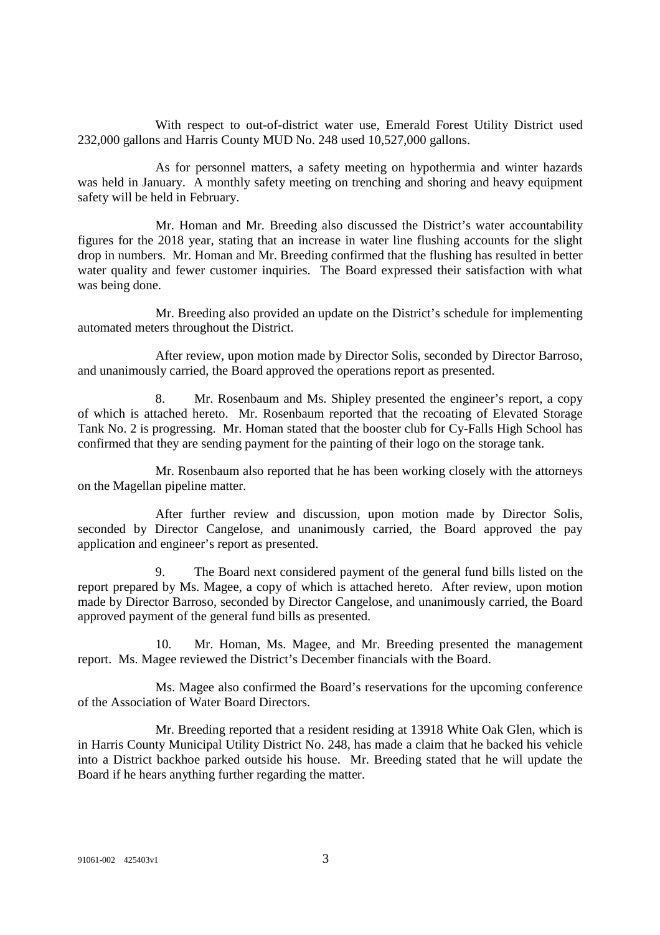With respect to out-of-district water use, Emerald Forest Utility District used 232,000 gallons and Harris County MUD No. 248 used 10,527,000 gallons.

As for personnel matters, a safety meeting on hypothermia and winter hazards was held in January. A monthly safety meeting on trenching and shoring and heavy equipment safety will be held in February.

Mr. Homan and Mr. Breeding also discussed the District's water accountability figures for the 2018 year, stating that an increase in water line flushing accounts for the slight drop in numbers. Mr. Homan and Mr. Breeding confirmed that the flushing has resulted in better water quality and fewer customer inquiries. The Board expressed their satisfaction with what was being done.

Mr. Breeding also provided an update on the District's schedule for implementing automated meters throughout the District.

After review, upon motion made by Director Solis, seconded by Director Barroso, and unanimously carried, the Board approved the operations report as presented.

8. Mr. Rosenbaum and Ms. Shipley presented the engineer's report, a copy of which is attached hereto. Mr. Rosenbaum reported that the recoating of Elevated Storage Tank No. 2 is progressing. Mr. Homan stated that the booster club for Cy-Falls High School has confirmed that they are sending payment for the painting of their logo on the storage tank.

Mr. Rosenbaum also reported that he has been working closely with the attorneys on the Magellan pipeline matter.

After further review and discussion, upon motion made by Director Solis, seconded by Director Cangelose, and unanimously carried, the Board approved the pay application and engineer's report as presented.

9. The Board next considered payment of the general fund bills listed on the report prepared by Ms. Magee, a copy of which is attached hereto. After review, upon motion made by Director Barroso, seconded by Director Cangelose, and unanimously carried, the Board approved payment of the general fund bills as presented.

10. Mr. Homan, Ms. Magee, and Mr. Breeding presented the management report. Ms. Magee reviewed the District's December financials with the Board.

Ms. Magee also confirmed the Board's reservations for the upcoming conference of the Association of Water Board Directors.

Mr. Breeding reported that a resident residing at 13918 White Oak Glen, which is in Harris County Municipal Utility District No. 248, has made a claim that he backed his vehicle into a District backhoe parked outside his house. Mr. Breeding stated that he will update the Board if he hears anything further regarding the matter.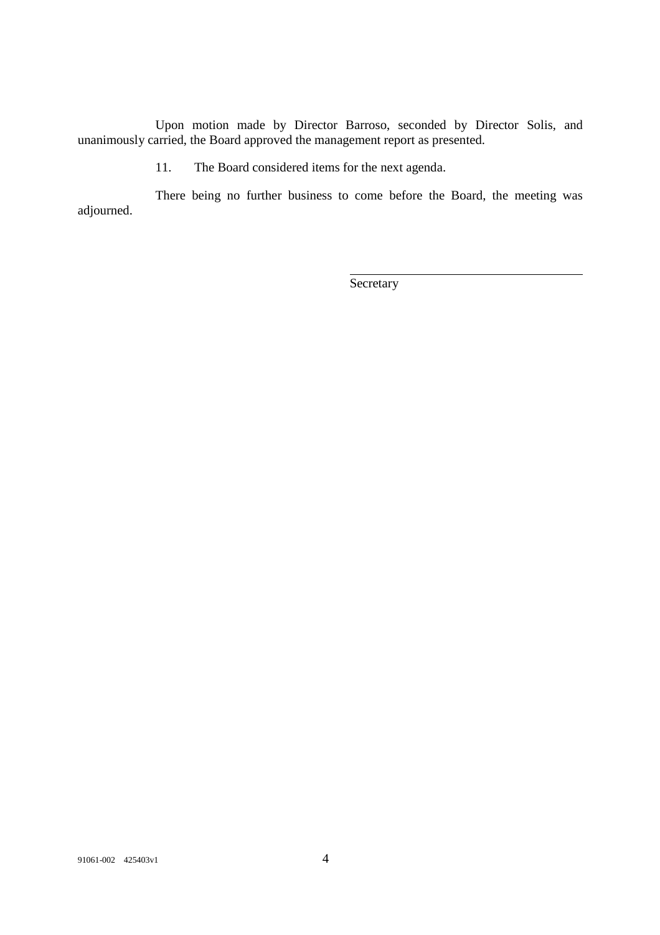Upon motion made by Director Barroso, seconded by Director Solis, and unanimously carried, the Board approved the management report as presented.

11. The Board considered items for the next agenda.

There being no further business to come before the Board, the meeting was adjourned.

**Secretary**